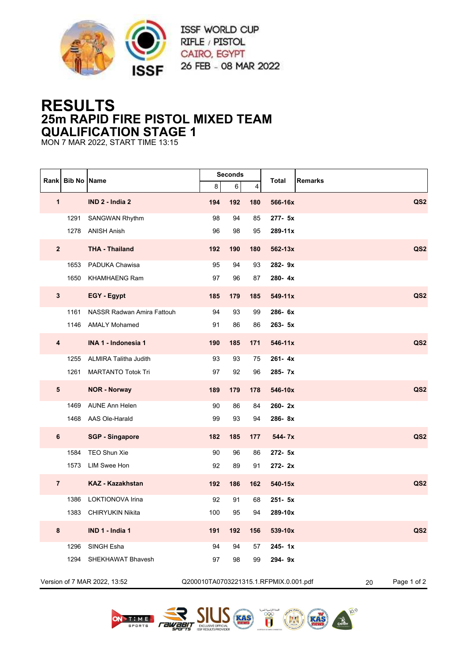

## **RESULTS 25m RAPID FIRE PISTOL MIXED TEAM QUALIFICATION STAGE 1**

MON 7 MAR 2022, START TIME 13:15

| <b>Rank</b>             | <b>Bib No Name</b>           |                                   |     | <b>Seconds</b> |     | <b>Total</b><br><b>Remarks</b>         |                   |
|-------------------------|------------------------------|-----------------------------------|-----|----------------|-----|----------------------------------------|-------------------|
|                         |                              |                                   | 8   | 6              | 4   |                                        |                   |
| $\mathbf{1}$            |                              | IND 2 - India 2                   | 194 | 192            | 180 | 566-16x                                | QS <sub>2</sub>   |
|                         | 1291                         | <b>SANGWAN Rhythm</b>             | 98  | 94             | 85  | 277- 5x                                |                   |
|                         | 1278                         | <b>ANISH Anish</b>                | 96  | 98             | 95  | 289-11x                                |                   |
| $\mathbf{2}$            |                              | <b>THA - Thailand</b>             | 192 | 190            | 180 | 562-13x                                | QS <sub>2</sub>   |
|                         | 1653                         | PADUKA Chawisa                    | 95  | 94             | 93  | 282-9x                                 |                   |
|                         | 1650                         | <b>KHAMHAENG Ram</b>              | 97  | 96             | 87  | 280-4x                                 |                   |
| $\mathbf{3}$            |                              | <b>EGY</b> - Egypt                | 185 | 179            | 185 | 549-11x                                | QS <sub>2</sub>   |
|                         | 1161                         | <b>NASSR Radwan Amira Fattouh</b> | 94  | 93             | 99  | 286-6x                                 |                   |
|                         | 1146                         | <b>AMALY Mohamed</b>              | 91  | 86             | 86  | 263- 5x                                |                   |
| $\overline{\mathbf{4}}$ |                              | INA 1 - Indonesia 1               | 190 | 185            | 171 | 546-11x                                | QS <sub>2</sub>   |
|                         | 1255                         | <b>ALMIRA Talitha Judith</b>      | 93  | 93             | 75  | 261-4x                                 |                   |
|                         | 1261                         | <b>MARTANTO Totok Tri</b>         | 97  | 92             | 96  | 285-7x                                 |                   |
| ${\bf 5}$               |                              | <b>NOR - Norway</b>               | 189 | 179            | 178 | 546-10x                                | QS <sub>2</sub>   |
|                         | 1469                         | <b>AUNE Ann Helen</b>             | 90  | 86             | 84  | 260-2x                                 |                   |
|                         | 1468                         | AAS Ole-Harald                    | 99  | 93             | 94  | 286-8x                                 |                   |
| 6                       |                              | <b>SGP - Singapore</b>            | 182 | 185            | 177 | 544-7x                                 | QS <sub>2</sub>   |
|                         | 1584                         | TEO Shun Xie                      | 90  | 96             | 86  | 272- 5x                                |                   |
|                         | 1573                         | LIM Swee Hon                      | 92  | 89             | 91  | 272-2x                                 |                   |
| $\overline{7}$          |                              | KAZ - Kazakhstan                  | 192 | 186            | 162 | 540-15x                                | QS <sub>2</sub>   |
|                         | 1386                         | LOKTIONOVA Irina                  | 92  | 91             | 68  | $251 - 5x$                             |                   |
|                         | 1383                         | <b>CHIRYUKIN Nikita</b>           | 100 | 95             | 94  | 289-10x                                |                   |
| 8                       |                              | IND 1 - India 1                   | 191 | 192            | 156 | 539-10x                                | QS <sub>2</sub>   |
|                         | 1296                         | SINGH Esha                        | 94  | 94             | 57  | 245-1x                                 |                   |
|                         | 1294                         | SHEKHAWAT Bhavesh                 | 97  | 98             | 99  | 294-9x                                 |                   |
|                         | Version of 7 MAR 2022, 13:52 |                                   |     |                |     | Q200010TA0703221315.1.RFPMIX.0.001.pdf | Page 1 of 2<br>20 |